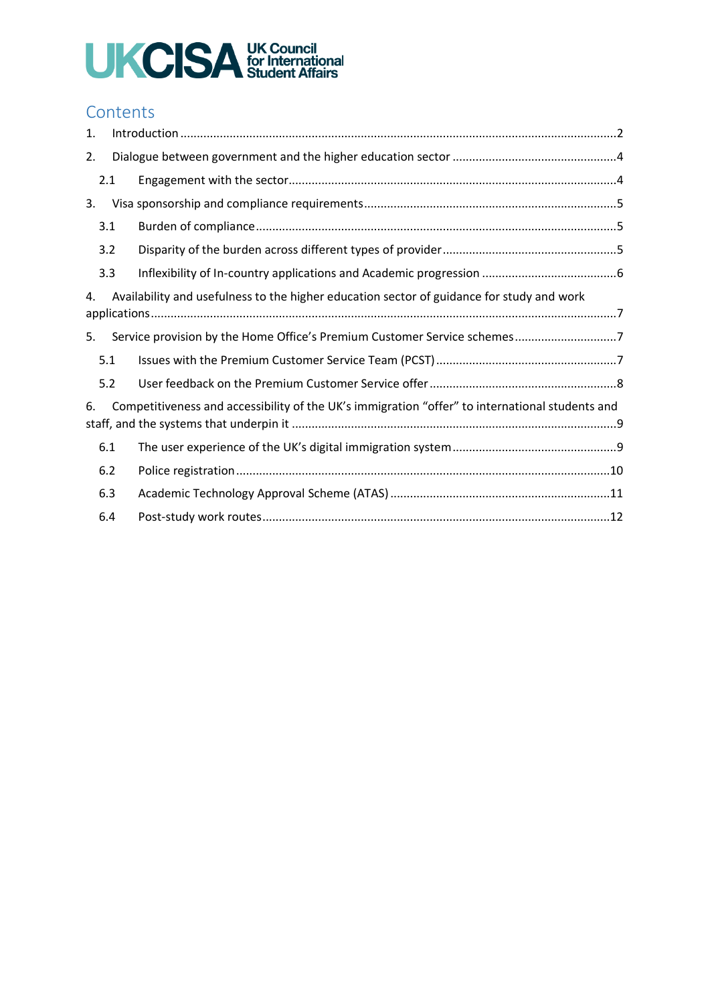# UKCISA UK Council

# **Contents**

| 1.                                                                                              |     |                                                                                                 |  |
|-------------------------------------------------------------------------------------------------|-----|-------------------------------------------------------------------------------------------------|--|
| 2.                                                                                              |     |                                                                                                 |  |
|                                                                                                 | 2.1 |                                                                                                 |  |
| 3.                                                                                              |     |                                                                                                 |  |
|                                                                                                 | 3.1 |                                                                                                 |  |
|                                                                                                 | 3.2 |                                                                                                 |  |
|                                                                                                 | 3.3 |                                                                                                 |  |
| Availability and usefulness to the higher education sector of guidance for study and work<br>4. |     |                                                                                                 |  |
| 5.                                                                                              |     | Service provision by the Home Office's Premium Customer Service schemes7                        |  |
|                                                                                                 | 5.1 |                                                                                                 |  |
|                                                                                                 | 5.2 |                                                                                                 |  |
| 6.                                                                                              |     | Competitiveness and accessibility of the UK's immigration "offer" to international students and |  |
|                                                                                                 | 6.1 |                                                                                                 |  |
|                                                                                                 | 6.2 |                                                                                                 |  |
|                                                                                                 | 6.3 |                                                                                                 |  |
|                                                                                                 | 6.4 |                                                                                                 |  |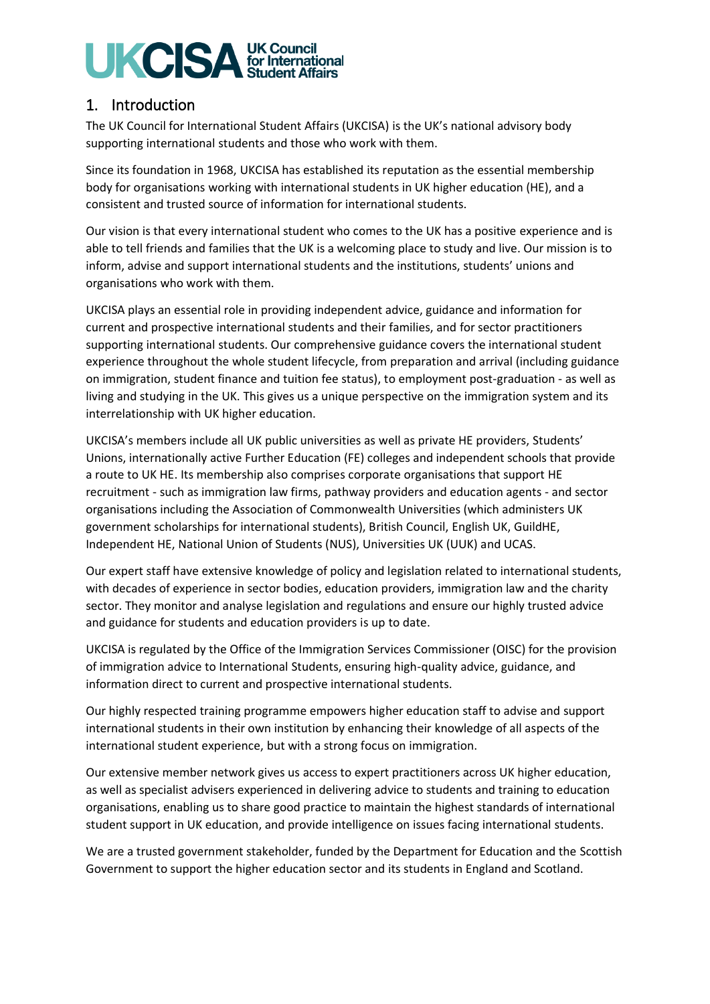# **UKCISA UK Council**

# 1. Introduction

The UK Council for International Student Affairs (UKCISA) is the UK's national advisory body supporting international students and those who work with them.

Since its foundation in 1968, UKCISA has established its reputation as the essential membership body for organisations working with international students in UK higher education (HE), and a consistent and trusted source of information for international students.

Our vision is that every international student who comes to the UK has a positive experience and is able to tell friends and families that the UK is a welcoming place to study and live. Our mission is to inform, advise and support international students and the institutions, students' unions and organisations who work with them.

UKCISA plays an essential role in providing independent advice, guidance and information for current and prospective international students and their families, and for sector practitioners supporting international students. Our comprehensive guidance covers the international student experience throughout the whole student lifecycle, from preparation and arrival (including guidance on immigration, student finance and tuition fee status), to employment post-graduation - as well as living and studying in the UK. This gives us a unique perspective on the immigration system and its interrelationship with UK higher education.

UKCISA's members include all UK public universities as well as private HE providers, Students' Unions, internationally active Further Education (FE) colleges and independent schools that provide a route to UK HE. Its membership also comprises corporate organisations that support HE recruitment - such as immigration law firms, pathway providers and education agents - and sector organisations including the Association of Commonwealth Universities (which administers UK government scholarships for international students), British Council, English UK, GuildHE, Independent HE, National Union of Students (NUS), Universities UK (UUK) and UCAS.

Our expert staff have extensive knowledge of policy and legislation related to international students, with decades of experience in sector bodies, education providers, immigration law and the charity sector. They monitor and analyse legislation and regulations and ensure our highly trusted advice and guidance for students and education providers is up to date.

UKCISA is regulated by the Office of the Immigration Services Commissioner (OISC) for the provision of immigration advice to International Students, ensuring high-quality advice, guidance, and information direct to current and prospective international students.

Our highly respected training programme empowers higher education staff to advise and support international students in their own institution by enhancing their knowledge of all aspects of the international student experience, but with a strong focus on immigration.

Our extensive member network gives us access to expert practitioners across UK higher education, as well as specialist advisers experienced in delivering advice to students and training to education organisations, enabling us to share good practice to maintain the highest standards of international student support in UK education, and provide intelligence on issues facing international students.

We are a trusted government stakeholder, funded by the Department for Education and the Scottish Government to support the higher education sector and its students in England and Scotland.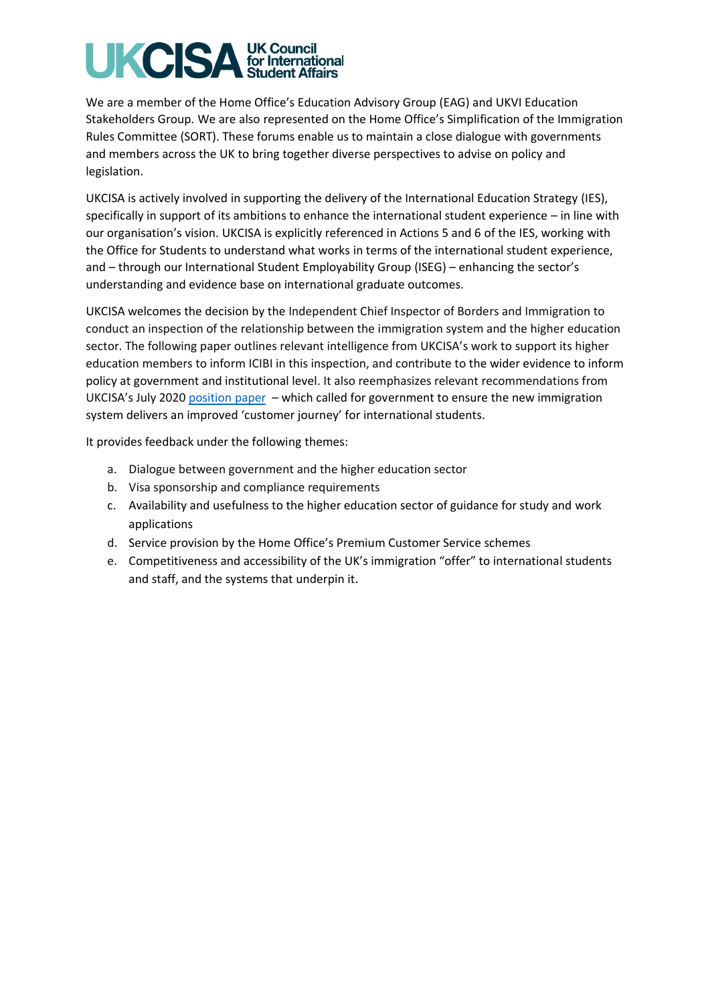# **UK Council<br>for International<br>Student Affairs UKCISA**

We are a member of the Home Office's Education Advisory Group (EAG) and UKVI Education Stakeholders Group. We are also represented on the Home Office's Simplification of the Immigration Rules Committee (SORT). These forums enable us to maintain a close dialogue with governments and members across the UK to bring together diverse perspectives to advise on policy and legislation.

UKCISA is actively involved in supporting the delivery of the International Education Strategy (IES), specifically in support of its ambitions to enhance the international student experience – in line with our organisation's vision. UKCISA is explicitly referenced in Actions 5 and 6 of the IES, working with the Office for Students to understand what works in terms of the international student experience, and – through our International Student Employability Group (ISEG) – enhancing the sector's understanding and evidence base on international graduate outcomes.

UKCISA welcomes the decision by the Independent Chief Inspector of Borders and Immigration to conduct an inspection of the relationship between the immigration system and the higher education sector. The following paper outlines relevant intelligence from UKCISA's work to support its higher education members to inform ICIBI in this inspection, and contribute to the wider evidence to inform policy at government and institutional level. It also reemphasizes relevant recommendations from UKCISA's July 2020 [position paper](https://www.ukcisa.org.uk/Research--Policy/Policy-and-lobbying/Delivering-a-world-class-international-student-experience) – which called for government to ensure the new immigration system delivers an improved 'customer journey' for international students.

It provides feedback under the following themes:

- a. Dialogue between government and the higher education sector
- b. Visa sponsorship and compliance requirements
- c. Availability and usefulness to the higher education sector of guidance for study and work applications
- d. Service provision by the Home Office's Premium Customer Service schemes
- e. Competitiveness and accessibility of the UK's immigration "offer" to international students and staff, and the systems that underpin it.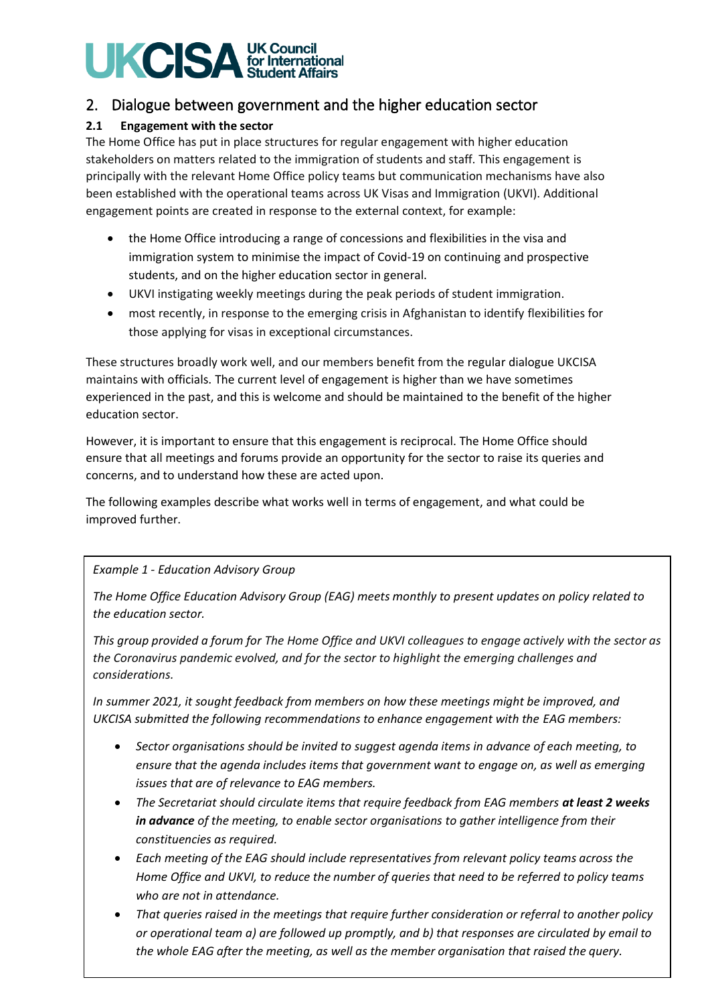# **UKCISA UK Council**

# 2. Dialogue between government and the higher education sector

# **2.1 Engagement with the sector**

The Home Office has put in place structures for regular engagement with higher education stakeholders on matters related to the immigration of students and staff. This engagement is principally with the relevant Home Office policy teams but communication mechanisms have also been established with the operational teams across UK Visas and Immigration (UKVI). Additional engagement points are created in response to the external context, for example:

- the Home Office introducing a range of concessions and flexibilities in the visa and immigration system to minimise the impact of Covid-19 on continuing and prospective students, and on the higher education sector in general.
- UKVI instigating weekly meetings during the peak periods of student immigration.
- most recently, in response to the emerging crisis in Afghanistan to identify flexibilities for those applying for visas in exceptional circumstances.

These structures broadly work well, and our members benefit from the regular dialogue UKCISA maintains with officials. The current level of engagement is higher than we have sometimes experienced in the past, and this is welcome and should be maintained to the benefit of the higher education sector.

However, it is important to ensure that this engagement is reciprocal. The Home Office should ensure that all meetings and forums provide an opportunity for the sector to raise its queries and concerns, and to understand how these are acted upon.

The following examples describe what works well in terms of engagement, and what could be improved further.

# *Example 1 - Education Advisory Group*

*The Home Office Education Advisory Group (EAG) meets monthly to present updates on policy related to the education sector.* 

*This group provided a forum for The Home Office and UKVI colleagues to engage actively with the sector as the Coronavirus pandemic evolved, and for the sector to highlight the emerging challenges and considerations.* 

*In summer 2021, it sought feedback from members on how these meetings might be improved, and UKCISA submitted the following recommendations to enhance engagement with the EAG members:*

- *Sector organisations should be invited to suggest agenda items in advance of each meeting, to ensure that the agenda includes items that government want to engage on, as well as emerging issues that are of relevance to EAG members.*
- *The Secretariat should circulate items that require feedback from EAG members at least 2 weeks in advance of the meeting, to enable sector organisations to gather intelligence from their constituencies as required.*
- *Each meeting of the EAG should include representatives from relevant policy teams across the Home Office and UKVI, to reduce the number of queries that need to be referred to policy teams who are not in attendance.*
- *That queries raised in the meetings that require further consideration or referral to another policy or operational team a) are followed up promptly, and b) that responses are circulated by email to the whole EAG after the meeting, as well as the member organisation that raised the query.*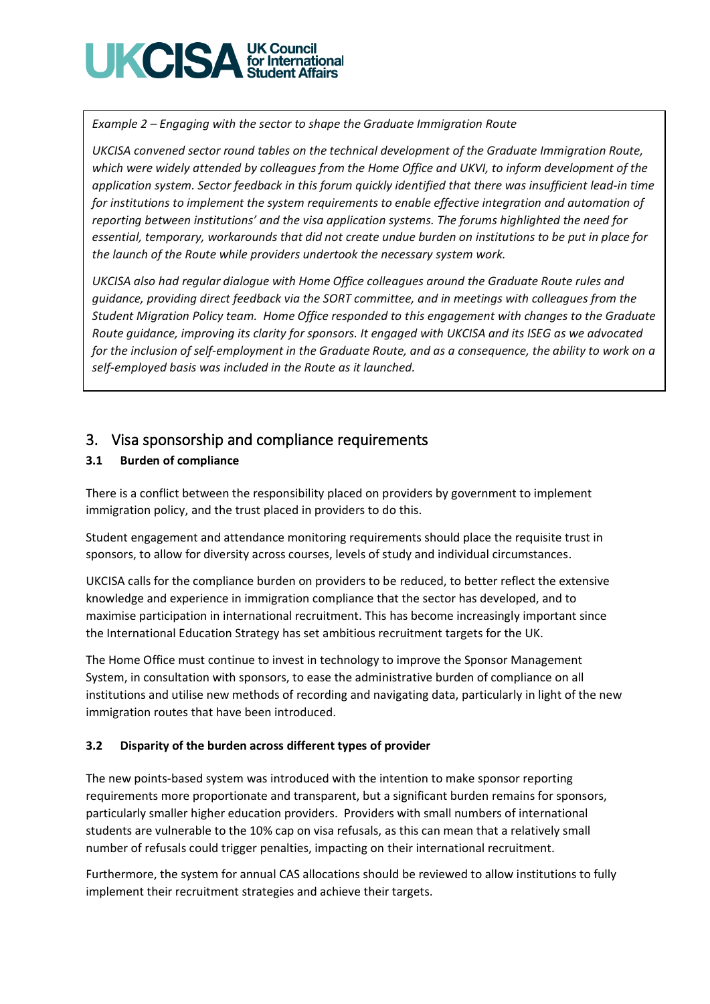

*Example 2 – Engaging with the sector to shape the Graduate Immigration Route*

*UKCISA convened sector round tables on the technical development of the Graduate Immigration Route, which were widely attended by colleagues from the Home Office and UKVI, to inform development of the application system. Sector feedback in this forum quickly identified that there was insufficient lead-in time for institutions to implement the system requirements to enable effective integration and automation of reporting between institutions' and the visa application systems. The forums highlighted the need for essential, temporary, workarounds that did not create undue burden on institutions to be put in place for the launch of the Route while providers undertook the necessary system work.*

*UKCISA also had regular dialogue with Home Office colleagues around the Graduate Route rules and guidance, providing direct feedback via the SORT committee, and in meetings with colleagues from the Student Migration Policy team. Home Office responded to this engagement with changes to the Graduate Route guidance, improving its clarity for sponsors. It engaged with UKCISA and its ISEG as we advocated for the inclusion of self-employment in the Graduate Route, and as a consequence, the ability to work on a self-employed basis was included in the Route as it launched.*

# 3. Visa sponsorship and compliance requirements

# **3.1 Burden of compliance**

There is a conflict between the responsibility placed on providers by government to implement immigration policy, and the trust placed in providers to do this.

Student engagement and attendance monitoring requirements should place the requisite trust in sponsors, to allow for diversity across courses, levels of study and individual circumstances.

UKCISA calls for the compliance burden on providers to be reduced, to better reflect the extensive knowledge and experience in immigration compliance that the sector has developed, and to maximise participation in international recruitment. This has become increasingly important since the International Education Strategy has set ambitious recruitment targets for the UK.

The Home Office must continue to invest in technology to improve the Sponsor Management System, in consultation with sponsors, to ease the administrative burden of compliance on all institutions and utilise new methods of recording and navigating data, particularly in light of the new immigration routes that have been introduced.

## **3.2 Disparity of the burden across different types of provider**

The new points-based system was introduced with the intention to make sponsor reporting requirements more proportionate and transparent, but a significant burden remains for sponsors, particularly smaller higher education providers. Providers with small numbers of international students are vulnerable to the 10% cap on visa refusals, as this can mean that a relatively small number of refusals could trigger penalties, impacting on their international recruitment.

Furthermore, the system for annual CAS allocations should be reviewed to allow institutions to fully implement their recruitment strategies and achieve their targets.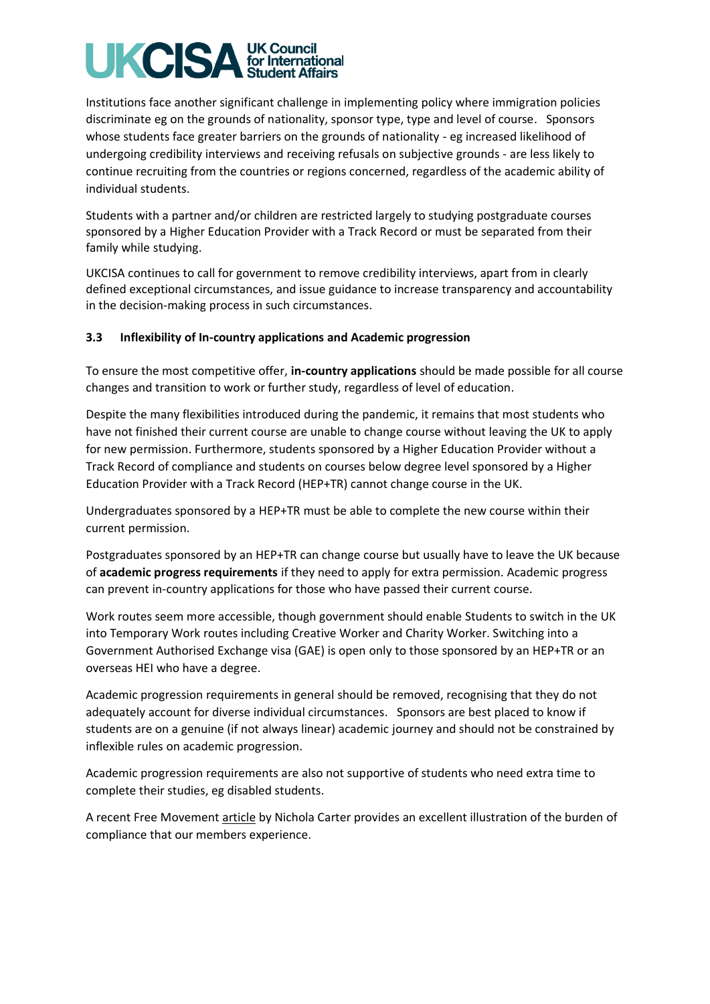# **UK Council<br>for International<br>Student Affairs** UKCIS

Institutions face another significant challenge in implementing policy where immigration policies discriminate eg on the grounds of nationality, sponsor type, type and level of course. Sponsors whose students face greater barriers on the grounds of nationality - eg increased likelihood of undergoing credibility interviews and receiving refusals on subjective grounds - are less likely to continue recruiting from the countries or regions concerned, regardless of the academic ability of individual students.

Students with a partner and/or children are restricted largely to studying postgraduate courses sponsored by a Higher Education Provider with a Track Record or must be separated from their family while studying.

UKCISA continues to call for government to remove credibility interviews, apart from in clearly defined exceptional circumstances, and issue guidance to increase transparency and accountability in the decision-making process in such circumstances.

## **3.3 Inflexibility of In-country applications and Academic progression**

To ensure the most competitive offer, **in-country applications** should be made possible for all course changes and transition to work or further study, regardless of level of education.

Despite the many flexibilities introduced during the pandemic, it remains that most students who have not finished their current course are unable to change course without leaving the UK to apply for new permission. Furthermore, students sponsored by a Higher Education Provider without a Track Record of compliance and students on courses below degree level sponsored by a Higher Education Provider with a Track Record (HEP+TR) cannot change course in the UK.

Undergraduates sponsored by a HEP+TR must be able to complete the new course within their current permission.

Postgraduates sponsored by an HEP+TR can change course but usually have to leave the UK because of **academic progress requirements** if they need to apply for extra permission. Academic progress can prevent in-country applications for those who have passed their current course.

Work routes seem more accessible, though government should enable Students to switch in the UK into Temporary Work routes including Creative Worker and Charity Worker. Switching into a Government Authorised Exchange visa (GAE) is open only to those sponsored by an HEP+TR or an overseas HEI who have a degree.

Academic progression requirements in general should be removed, recognising that they do not adequately account for diverse individual circumstances. Sponsors are best placed to know if students are on a genuine (if not always linear) academic journey and should not be constrained by inflexible rules on academic progression.

Academic progression requirements are also not supportive of students who need extra time to complete their studies, eg disabled students.

A recent Free Movement [article](https://bit.ly/3087YA0) by Nichola Carter provides an excellent illustration of the burden of compliance that our members experience.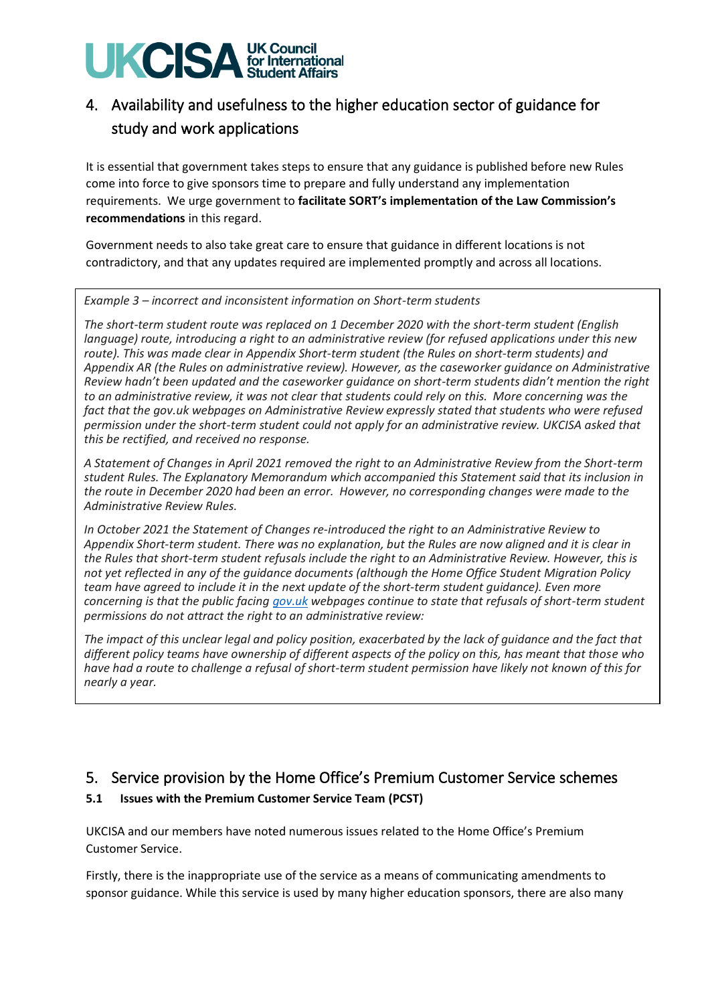# **UK Council<br>for International<br>Student Affairs UKCISA**

# 4. Availability and usefulness to the higher education sector of guidance for study and work applications

It is essential that government takes steps to ensure that any guidance is published before new Rules come into force to give sponsors time to prepare and fully understand any implementation requirements. We urge government to **facilitate SORT's implementation of the Law Commission's recommendations** in this regard.

Government needs to also take great care to ensure that guidance in different locations is not contradictory, and that any updates required are implemented promptly and across all locations.

*Example 3 – incorrect and inconsistent information on Short-term students*

*The short-term student route was replaced on 1 December 2020 with the short-term student (English language) route, introducing a right to an administrative review (for refused applications under this new route). This was made clear in Appendix Short-term student (the Rules on short-term students) and Appendix AR (the Rules on administrative review). However, as the caseworker guidance on Administrative Review hadn't been updated and the caseworker guidance on short-term students didn't mention the right to an administrative review, it was not clear that students could rely on this. More concerning was the fact that the gov.uk webpages on Administrative Review expressly stated that students who were refused permission under the short-term student could not apply for an administrative review. UKCISA asked that this be rectified, and received no response.*

*A Statement of Changes in April 2021 removed the right to an Administrative Review from the Short-term student Rules. The Explanatory Memorandum which accompanied this Statement said that its inclusion in the route in December 2020 had been an error. However, no corresponding changes were made to the Administrative Review Rules.*

*In October 2021 the Statement of Changes re-introduced the right to an Administrative Review to Appendix Short-term student. There was no explanation, but the Rules are now aligned and it is clear in the Rules that short-term student refusals include the right to an Administrative Review. However, this is not yet reflected in any of the guidance documents (although the Home Office Student Migration Policy team have agreed to include it in the next update of the short-term student guidance). Even more concerning is that the public facing gov.uk webpages continue to state that refusals of short-term student permissions do not attract the right to an administrative review:*

*The impact of this unclear legal and policy position, exacerbated by the lack of guidance and the fact that different policy teams have ownership of different aspects of the policy on this, has meant that those who have had a route to challenge a refusal of short-term student permission have likely not known of this for nearly a year.*

# 5. Service provision by the Home Office's Premium Customer Service schemes

# **5.1 Issues with the Premium Customer Service Team (PCST)**

UKCISA and our members have noted numerous issues related to the Home Office's Premium Customer Service.

Firstly, there is the inappropriate use of the service as a means of communicating amendments to sponsor guidance. While this service is used by many higher education sponsors, there are also many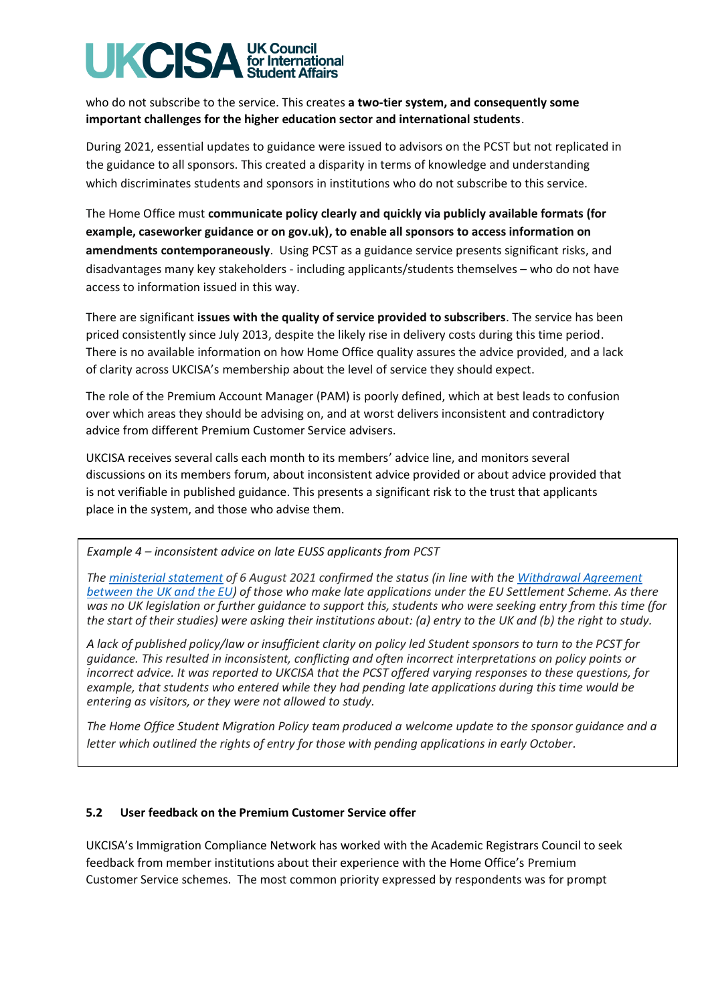#### **UK Council** UKCIS for International **Student Affairs**

who do not subscribe to the service. This creates **a two-tier system, and consequently some important challenges for the higher education sector and international students**.

During 2021, essential updates to guidance were issued to advisors on the PCST but not replicated in the guidance to all sponsors. This created a disparity in terms of knowledge and understanding which discriminates students and sponsors in institutions who do not subscribe to this service.

The Home Office must **communicate policy clearly and quickly via publicly available formats (for example, caseworker guidance or on gov.uk), to enable all sponsors to access information on amendments contemporaneously**. Using PCST as a guidance service presents significant risks, and disadvantages many key stakeholders - including applicants/students themselves – who do not have access to information issued in this way.

There are significant **issues with the quality of service provided to subscribers**. The service has been priced consistently since July 2013, despite the likely rise in delivery costs during this time period. There is no available information on how Home Office quality assures the advice provided, and a lack of clarity across UKCISA's membership about the level of service they should expect.

The role of the Premium Account Manager (PAM) is poorly defined, which at best leads to confusion over which areas they should be advising on, and at worst delivers inconsistent and contradictory advice from different Premium Customer Service advisers.

UKCISA receives several calls each month to its members' advice line, and monitors several discussions on its members forum, about inconsistent advice provided or about advice provided that is not verifiable in published guidance. This presents a significant risk to the trust that applicants place in the system, and those who advise them.

*Example 4 – inconsistent advice on late EUSS applicants from PCST*

*The ministerial statement of 6 August 2021 confirmed the status (in line with the Withdrawal Agreement between the UK and the EU) of those who make late applications under the EU Settlement Scheme. As there was no UK legislation or further guidance to support this, students who were seeking entry from this time (for the start of their studies) were asking their institutions about: (a) entry to the UK and (b) the right to study.* 

*A lack of published policy/law or insufficient clarity on policy led Student sponsors to turn to the PCST for guidance. This resulted in inconsistent, conflicting and often incorrect interpretations on policy points or incorrect advice. It was reported to UKCISA that the PCST offered varying responses to these questions, for example, that students who entered while they had pending late applications during this time would be entering as visitors, or they were not allowed to study.*

*The Home Office Student Migration Policy team produced a welcome update to the sponsor guidance and a letter which outlined the rights of entry for those with pending applications in early October.*

## **5.2 User feedback on the Premium Customer Service offer**

UKCISA's Immigration Compliance Network has worked with the Academic Registrars Council to seek feedback from member institutions about their experience with the Home Office's Premium Customer Service schemes. The most common priority expressed by respondents was for prompt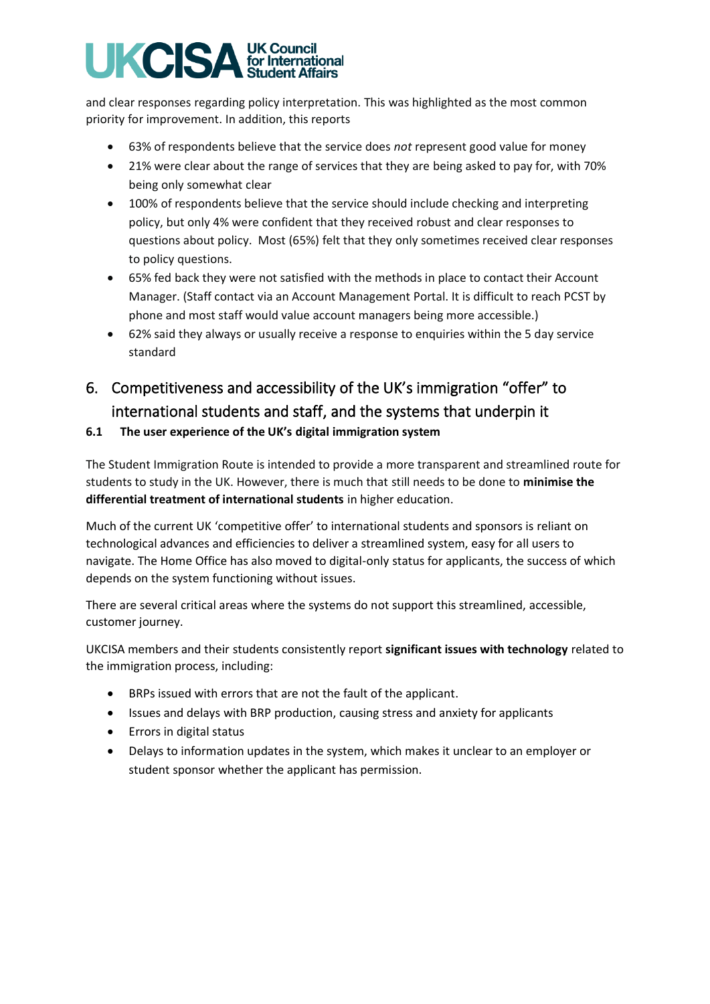# **UK Council**<br>for International **UKCISA udent Affairs**

and clear responses regarding policy interpretation. This was highlighted as the most common priority for improvement. In addition, this reports

- 63% of respondents believe that the service does *not* represent good value for money
- 21% were clear about the range of services that they are being asked to pay for, with 70% being only somewhat clear
- 100% of respondents believe that the service should include checking and interpreting policy, but only 4% were confident that they received robust and clear responses to questions about policy. Most (65%) felt that they only sometimes received clear responses to policy questions.
- 65% fed back they were not satisfied with the methods in place to contact their Account Manager. (Staff contact via an Account Management Portal. It is difficult to reach PCST by phone and most staff would value account managers being more accessible.)
- 62% said they always or usually receive a response to enquiries within the 5 day service standard

# 6. Competitiveness and accessibility of the UK's immigration "offer" to international students and staff, and the systems that underpin it

# **6.1 The user experience of the UK's digital immigration system**

The Student Immigration Route is intended to provide a more transparent and streamlined route for students to study in the UK. However, there is much that still needs to be done to **minimise the differential treatment of international students** in higher education.

Much of the current UK 'competitive offer' to international students and sponsors is reliant on technological advances and efficiencies to deliver a streamlined system, easy for all users to navigate. The Home Office has also moved to digital-only status for applicants, the success of which depends on the system functioning without issues.

There are several critical areas where the systems do not support this streamlined, accessible, customer journey.

UKCISA members and their students consistently report **significant issues with technology** related to the immigration process, including:

- BRPs issued with errors that are not the fault of the applicant.
- Issues and delays with BRP production, causing stress and anxiety for applicants
- Errors in digital status
- Delays to information updates in the system, which makes it unclear to an employer or student sponsor whether the applicant has permission.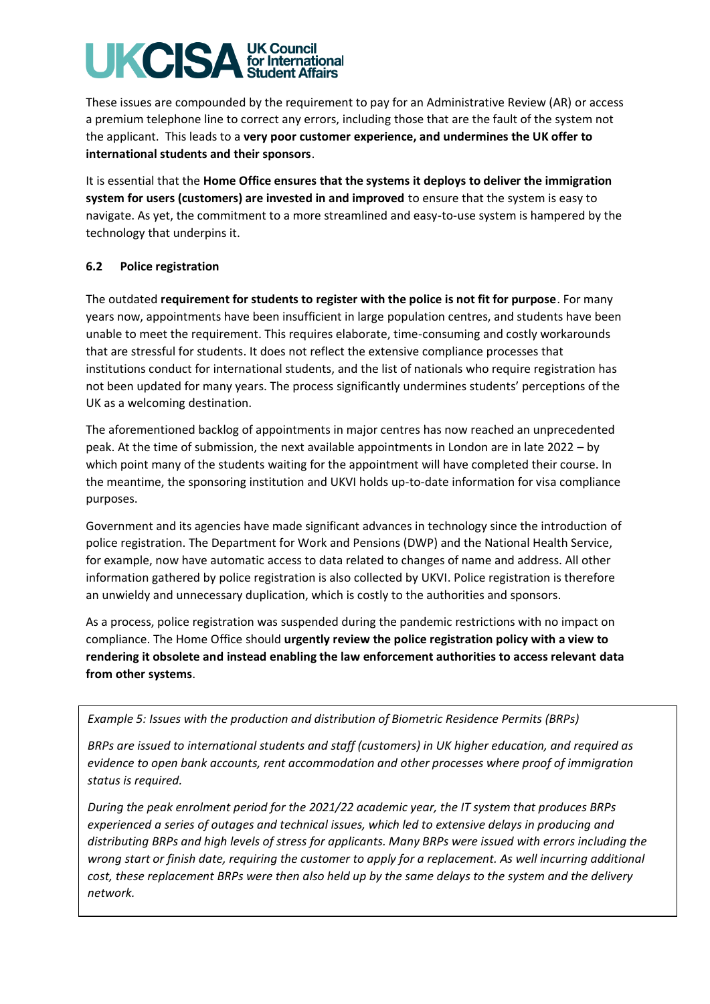# **UK Council**<br>for International **UKCIS** udent Affairs

These issues are compounded by the requirement to pay for an Administrative Review (AR) or access a premium telephone line to correct any errors, including those that are the fault of the system not the applicant. This leads to a **very poor customer experience, and undermines the UK offer to international students and their sponsors**.

It is essential that the **Home Office ensures that the systems it deploys to deliver the immigration system for users (customers) are invested in and improved** to ensure that the system is easy to navigate. As yet, the commitment to a more streamlined and easy-to-use system is hampered by the technology that underpins it.

## **6.2 Police registration**

The outdated **requirement for students to register with the police is not fit for purpose**. For many years now, appointments have been insufficient in large population centres, and students have been unable to meet the requirement. This requires elaborate, time-consuming and costly workarounds that are stressful for students. It does not reflect the extensive compliance processes that institutions conduct for international students, and the list of nationals who require registration has not been updated for many years. The process significantly undermines students' perceptions of the UK as a welcoming destination.

The aforementioned backlog of appointments in major centres has now reached an unprecedented peak. At the time of submission, the next available appointments in London are in late 2022 – by which point many of the students waiting for the appointment will have completed their course. In the meantime, the sponsoring institution and UKVI holds up-to-date information for visa compliance purposes.

Government and its agencies have made significant advances in technology since the introduction of police registration. The Department for Work and Pensions (DWP) and the National Health Service, for example, now have automatic access to data related to changes of name and address. All other information gathered by police registration is also collected by UKVI. Police registration is therefore an unwieldy and unnecessary duplication, which is costly to the authorities and sponsors.

As a process, police registration was suspended during the pandemic restrictions with no impact on compliance. The Home Office should **urgently review the police registration policy with a view to rendering it obsolete and instead enabling the law enforcement authorities to access relevant data from other systems**.

*Example 5: Issues with the production and distribution of Biometric Residence Permits (BRPs)*

*BRPs are issued to international students and staff (customers) in UK higher education, and required as evidence to open bank accounts, rent accommodation and other processes where proof of immigration status is required.*

*During the peak enrolment period for the 2021/22 academic year, the IT system that produces BRPs experienced a series of outages and technical issues, which led to extensive delays in producing and distributing BRPs and high levels of stress for applicants. Many BRPs were issued with errors including the*  wrong start or finish date, requiring the customer to apply for a replacement. As well incurring additional *cost, these replacement BRPs were then also held up by the same delays to the system and the delivery network.*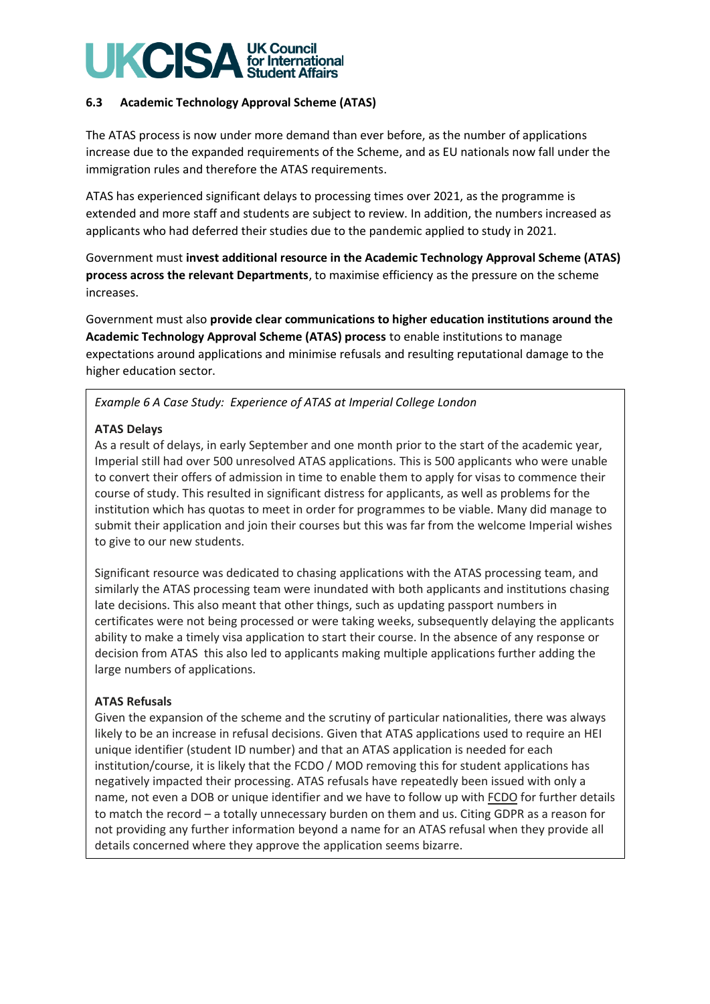#### **UKCIS UK Council** for International tudent Affairs

## **6.3 Academic Technology Approval Scheme (ATAS)**

The ATAS process is now under more demand than ever before, as the number of applications increase due to the expanded requirements of the Scheme, and as EU nationals now fall under the immigration rules and therefore the ATAS requirements.

ATAS has experienced significant delays to processing times over 2021, as the programme is extended and more staff and students are subject to review. In addition, the numbers increased as applicants who had deferred their studies due to the pandemic applied to study in 2021.

Government must **invest additional resource in the Academic Technology Approval Scheme (ATAS) process across the relevant Departments**, to maximise efficiency as the pressure on the scheme increases.

Government must also **provide clear communications to higher education institutions around the Academic Technology Approval Scheme (ATAS) process** to enable institutions to manage expectations around applications and minimise refusals and resulting reputational damage to the higher education sector.

# *Example 6 A Case Study: Experience of ATAS at Imperial College London*

## **ATAS Delays**

As a result of delays, in early September and one month prior to the start of the academic year, Imperial still had over 500 unresolved ATAS applications. This is 500 applicants who were unable to convert their offers of admission in time to enable them to apply for visas to commence their course of study. This resulted in significant distress for applicants, as well as problems for the institution which has quotas to meet in order for programmes to be viable. Many did manage to submit their application and join their courses but this was far from the welcome Imperial wishes to give to our new students.

Significant resource was dedicated to chasing applications with the ATAS processing team, and similarly the ATAS processing team were inundated with both applicants and institutions chasing late decisions. This also meant that other things, such as updating passport numbers in certificates were not being processed or were taking weeks, subsequently delaying the applicants ability to make a timely visa application to start their course. In the absence of any response or decision from ATAS this also led to applicants making multiple applications further adding the large numbers of applications.

## **ATAS Refusals**

Given the expansion of the scheme and the scrutiny of particular nationalities, there was always likely to be an increase in refusal decisions. Given that ATAS applications used to require an HEI unique identifier (student ID number) and that an ATAS application is needed for each institution/course, it is likely that the FCDO / MOD removing this for student applications has negatively impacted their processing. ATAS refusals have repeatedly been issued with only a name, not even a DOB or unique identifier and we have to follow up with FCDO for further details to match the record – a totally unnecessary burden on them and us. Citing GDPR as a reason for not providing any further information beyond a name for an ATAS refusal when they provide all details concerned where they approve the application seems bizarre.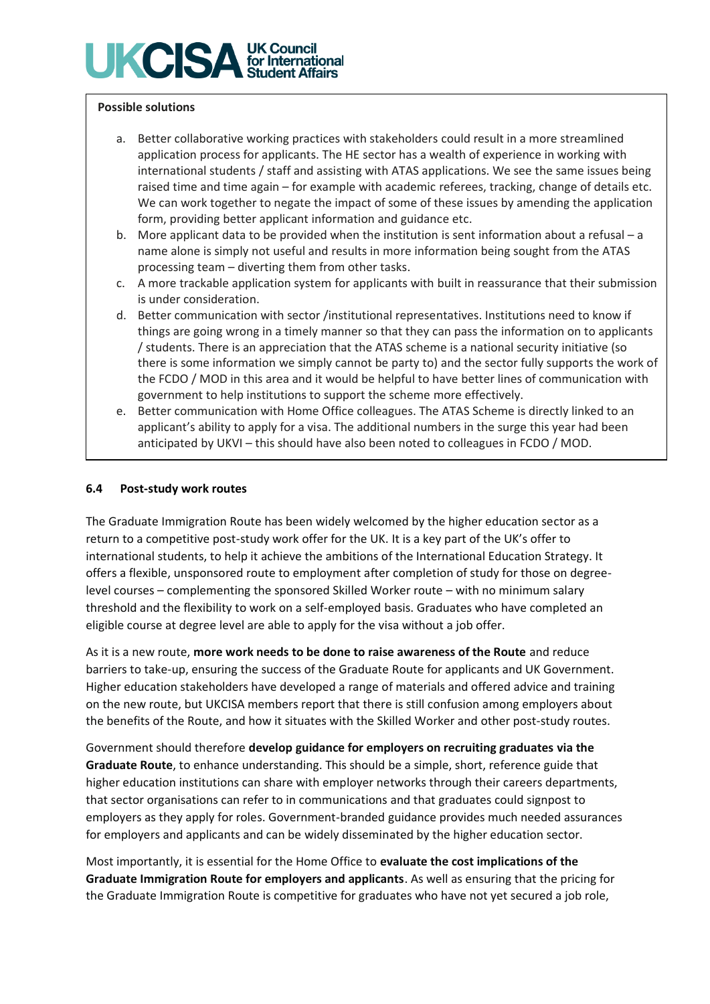# **UK Council<br>for International** UKCISA **Student Affairs**

## **Possible solutions**

- a. Better collaborative working practices with stakeholders could result in a more streamlined application process for applicants. The HE sector has a wealth of experience in working with international students / staff and assisting with ATAS applications. We see the same issues being raised time and time again – for example with academic referees, tracking, change of details etc. We can work together to negate the impact of some of these issues by amending the application form, providing better applicant information and guidance etc.
- b. More applicant data to be provided when the institution is sent information about a refusal a name alone is simply not useful and results in more information being sought from the ATAS processing team – diverting them from other tasks.
- c. A more trackable application system for applicants with built in reassurance that their submission is under consideration.
- d. Better communication with sector /institutional representatives. Institutions need to know if things are going wrong in a timely manner so that they can pass the information on to applicants / students. There is an appreciation that the ATAS scheme is a national security initiative (so there is some information we simply cannot be party to) and the sector fully supports the work of the FCDO / MOD in this area and it would be helpful to have better lines of communication with government to help institutions to support the scheme more effectively.
- e. Better communication with Home Office colleagues. The ATAS Scheme is directly linked to an applicant's ability to apply for a visa. The additional numbers in the surge this year had been anticipated by UKVI – this should have also been noted to colleagues in FCDO / MOD.

### **6.4 Post-study work routes**

The Graduate Immigration Route has been widely welcomed by the higher education sector as a return to a competitive post-study work offer for the UK. It is a key part of the UK's offer to international students, to help it achieve the ambitions of the International Education Strategy. It offers a flexible, unsponsored route to employment after completion of study for those on degreelevel courses – complementing the sponsored Skilled Worker route – with no minimum salary threshold and the flexibility to work on a self-employed basis. Graduates who have completed an eligible course at degree level are able to apply for the visa without a job offer.

As it is a new route, **more work needs to be done to raise awareness of the Route** and reduce barriers to take-up, ensuring the success of the Graduate Route for applicants and UK Government. Higher education stakeholders have developed a range of materials and offered advice and training on the new route, but UKCISA members report that there is still confusion among employers about the benefits of the Route, and how it situates with the Skilled Worker and other post-study routes.

Government should therefore **develop guidance for employers on recruiting graduates via the Graduate Route**, to enhance understanding. This should be a simple, short, reference guide that higher education institutions can share with employer networks through their careers departments, that sector organisations can refer to in communications and that graduates could signpost to employers as they apply for roles. Government-branded guidance provides much needed assurances for employers and applicants and can be widely disseminated by the higher education sector.

Most importantly, it is essential for the Home Office to **evaluate the cost implications of the Graduate Immigration Route for employers and applicants**. As well as ensuring that the pricing for the Graduate Immigration Route is competitive for graduates who have not yet secured a job role,